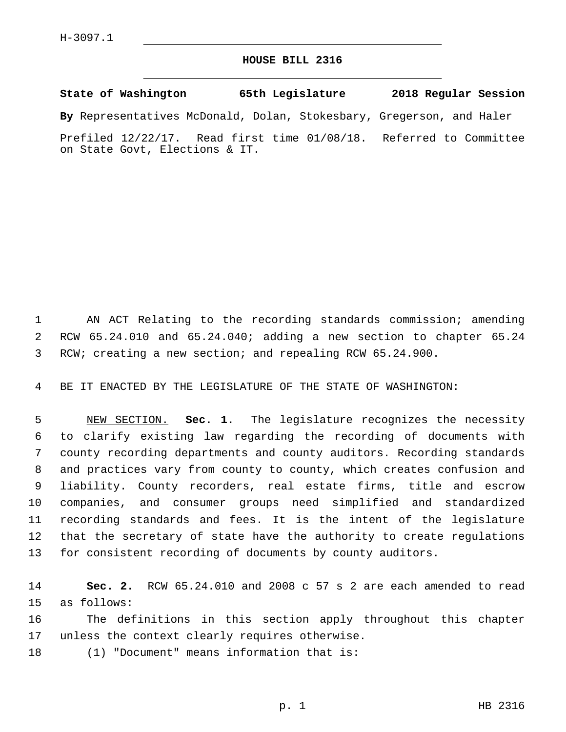## **HOUSE BILL 2316**

**State of Washington 65th Legislature 2018 Regular Session**

**By** Representatives McDonald, Dolan, Stokesbary, Gregerson, and Haler

Prefiled 12/22/17. Read first time 01/08/18. Referred to Committee on State Govt, Elections & IT.

1 AN ACT Relating to the recording standards commission; amending 2 RCW 65.24.010 and 65.24.040; adding a new section to chapter 65.24 3 RCW; creating a new section; and repealing RCW 65.24.900.

4 BE IT ENACTED BY THE LEGISLATURE OF THE STATE OF WASHINGTON:

 NEW SECTION. **Sec. 1.** The legislature recognizes the necessity to clarify existing law regarding the recording of documents with county recording departments and county auditors. Recording standards and practices vary from county to county, which creates confusion and liability. County recorders, real estate firms, title and escrow companies, and consumer groups need simplified and standardized recording standards and fees. It is the intent of the legislature that the secretary of state have the authority to create regulations for consistent recording of documents by county auditors.

14 **Sec. 2.** RCW 65.24.010 and 2008 c 57 s 2 are each amended to read 15 as follows:

16 The definitions in this section apply throughout this chapter 17 unless the context clearly requires otherwise.

18 (1) "Document" means information that is: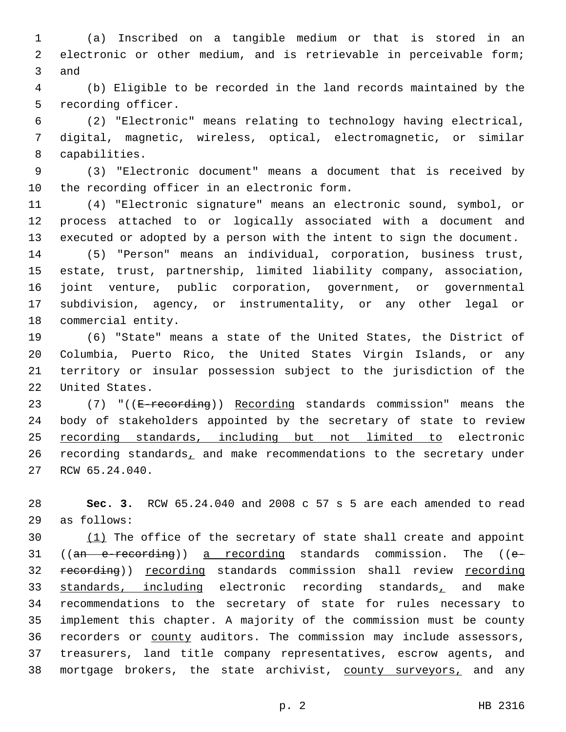(a) Inscribed on a tangible medium or that is stored in an electronic or other medium, and is retrievable in perceivable form; 3 and

 (b) Eligible to be recorded in the land records maintained by the 5 recording officer.

 (2) "Electronic" means relating to technology having electrical, digital, magnetic, wireless, optical, electromagnetic, or similar 8 capabilities.

 (3) "Electronic document" means a document that is received by 10 the recording officer in an electronic form.

 (4) "Electronic signature" means an electronic sound, symbol, or process attached to or logically associated with a document and executed or adopted by a person with the intent to sign the document.

 (5) "Person" means an individual, corporation, business trust, estate, trust, partnership, limited liability company, association, joint venture, public corporation, government, or governmental subdivision, agency, or instrumentality, or any other legal or 18 commercial entity.

 (6) "State" means a state of the United States, the District of Columbia, Puerto Rico, the United States Virgin Islands, or any territory or insular possession subject to the jurisdiction of the 22 United States.

23 (7) "((E-recording)) Recording standards commission" means the body of stakeholders appointed by the secretary of state to review recording standards, including but not limited to electronic recording standards, and make recommendations to the secretary under 27 RCW 65.24.040.

 **Sec. 3.** RCW 65.24.040 and 2008 c 57 s 5 are each amended to read as follows:29

 (1) The office of the secretary of state shall create and appoint ((an e-recording)) a recording standards commission. The ((e-32 recording)) recording standards commission shall review recording 33 standards, including electronic recording standards, and make recommendations to the secretary of state for rules necessary to implement this chapter. A majority of the commission must be county recorders or county auditors. The commission may include assessors, treasurers, land title company representatives, escrow agents, and 38 mortgage brokers, the state archivist, county surveyors, and any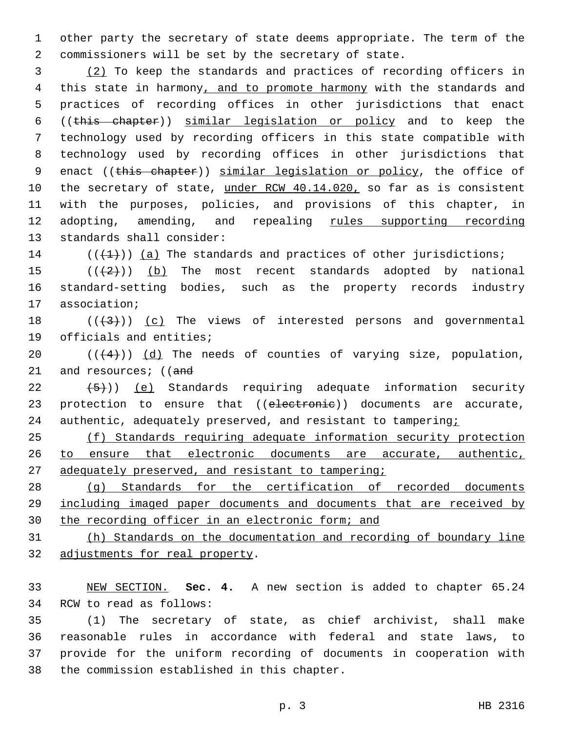1 other party the secretary of state deems appropriate. The term of the 2 commissioners will be set by the secretary of state.

3 (2) To keep the standards and practices of recording officers in 4 this state in harmony, and to promote harmony with the standards and 5 practices of recording offices in other jurisdictions that enact 6 ((this chapter)) similar legislation or policy and to keep the 7 technology used by recording officers in this state compatible with 8 technology used by recording offices in other jurisdictions that 9 enact ((this chapter)) similar legislation or policy, the office of 10 the secretary of state, under RCW 40.14.020, so far as is consistent 11 with the purposes, policies, and provisions of this chapter, in 12 adopting, amending, and repealing rules supporting recording 13 standards shall consider:

14  $((+1))$   $(a)$  The standards and practices of other jurisdictions;

15  $((+2+))$  (b) The most recent standards adopted by national 16 standard-setting bodies, such as the property records industry 17 association;

18  $((+3+))$  (c) The views of interested persons and governmental 19 officials and entities;

20  $((+4))$  (d) The needs of counties of varying size, population, 21 and resources; ((and

 $22$   $(5)$ ) (e) Standards requiring adequate information security 23 protection to ensure that ((electronic)) documents are accurate, 24 authentic, adequately preserved, and resistant to tampering;

25 (f) Standards requiring adequate information security protection 26 to ensure that electronic documents are accurate, authentic, 27 adequately preserved, and resistant to tampering;

28 (g) Standards for the certification of recorded documents 29 including imaged paper documents and documents that are received by 30 the recording officer in an electronic form; and

31 (h) Standards on the documentation and recording of boundary line 32 adjustments for real property.

33 NEW SECTION. **Sec. 4.** A new section is added to chapter 65.24 34 RCW to read as follows:

 (1) The secretary of state, as chief archivist, shall make reasonable rules in accordance with federal and state laws, to provide for the uniform recording of documents in cooperation with 38 the commission established in this chapter.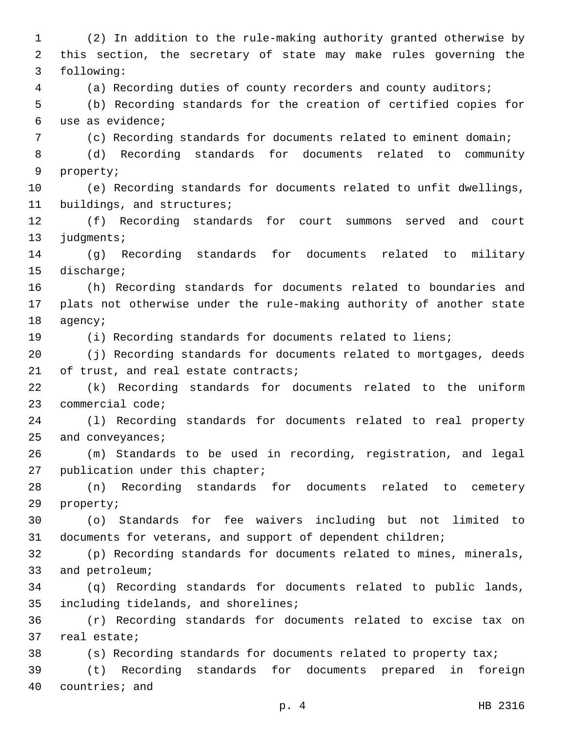1 (2) In addition to the rule-making authority granted otherwise by 2 this section, the secretary of state may make rules governing the following:3 4 (a) Recording duties of county recorders and county auditors; 5 (b) Recording standards for the creation of certified copies for use as evidence;6 7 (c) Recording standards for documents related to eminent domain; 8 (d) Recording standards for documents related to community 9 property; 10 (e) Recording standards for documents related to unfit dwellings, 11 buildings, and structures; 12 (f) Recording standards for court summons served and court 13 judgments; 14 (g) Recording standards for documents related to military 15 discharge; 16 (h) Recording standards for documents related to boundaries and 17 plats not otherwise under the rule-making authority of another state 18 agency; 19 (i) Recording standards for documents related to liens; 20 (j) Recording standards for documents related to mortgages, deeds 21 of trust, and real estate contracts; 22 (k) Recording standards for documents related to the uniform 23 commercial code; 24 (l) Recording standards for documents related to real property 25 and conveyances; 26 (m) Standards to be used in recording, registration, and legal 27 publication under this chapter; 28 (n) Recording standards for documents related to cemetery 29 property; 30 (o) Standards for fee waivers including but not limited to 31 documents for veterans, and support of dependent children; 32 (p) Recording standards for documents related to mines, minerals, 33 and petroleum; 34 (q) Recording standards for documents related to public lands, 35 including tidelands, and shorelines; 36 (r) Recording standards for documents related to excise tax on 37 real estate; 38 (s) Recording standards for documents related to property tax; 39 (t) Recording standards for documents prepared in foreign 40 countries; and

p. 4 HB 2316